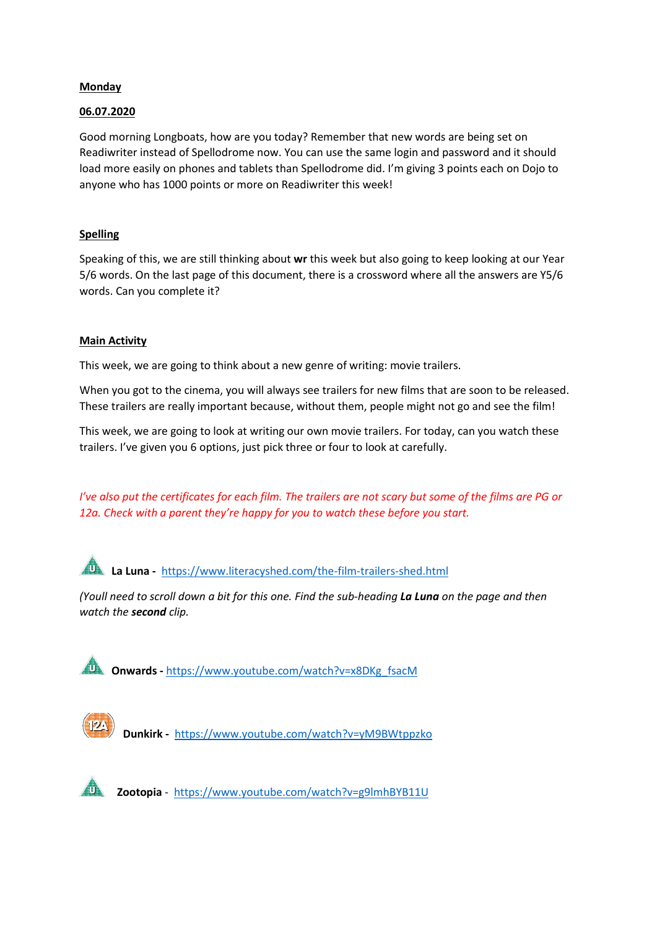#### **Monday**

#### 06.07.2020

Good morning Longboats, how are you today? Remember that new words are being set on Readiwriter instead of Spellodrome now. You can use the same login and password and it should load more easily on phones and tablets than Spellodrome did. I'm giving 3 points each on Dojo to anyone who has 1000 points or more on Readiwriter this week!

### **Spelling**

Speaking of this, we are still thinking about wr this week but also going to keep looking at our Year 5/6 words. On the last page of this document, there is a crossword where all the answers are Y5/6 words. Can you complete it?

#### Main Activity

This week, we are going to think about a new genre of writing: movie trailers.

When you got to the cinema, you will always see trailers for new films that are soon to be released. These trailers are really important because, without them, people might not go and see the film!

This week, we are going to look at writing our own movie trailers. For today, can you watch these trailers. I've given you 6 options, just pick three or four to look at carefully.

*I've also put the certificates for each film. The trailers are not scary but some of the films are PG or 12a. Check with a parent they're happy for you to watch these before you start.* 

La Luna - https://www.literacyshed.com/the-film-trailers-shed.html

*(Youll need to scroll down a bit for this one. Find the sub-heading La Luna on the page and then watch the second clip.* 

Onwards - https://www.youtube.com/watch?v=x8DKg\_fsacM



Dunkirk - https://www.youtube.com/watch?v=yM9BWtppzko



Zootopia - https://www.youtube.com/watch?v=g9lmhBYB11U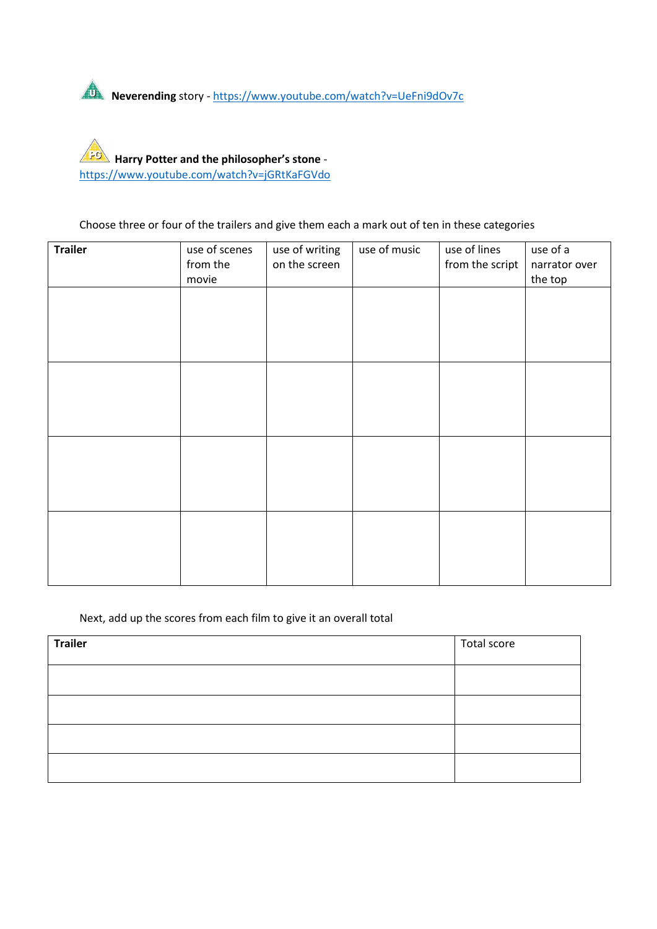

Harry Potter and the philosopher's stone https://www.youtube.com/watch?v=jGRtKaFGVdo

Choose three or four of the trailers and give them each a mark out of ten in these categories

| <b>Trailer</b> | use of scenes | use of writing | use of music | use of lines    | use of a      |
|----------------|---------------|----------------|--------------|-----------------|---------------|
|                | from the      | on the screen  |              | from the script | narrator over |
|                | movie         |                |              |                 | the top       |
|                |               |                |              |                 |               |
|                |               |                |              |                 |               |
|                |               |                |              |                 |               |
|                |               |                |              |                 |               |
|                |               |                |              |                 |               |
|                |               |                |              |                 |               |
|                |               |                |              |                 |               |
|                |               |                |              |                 |               |
|                |               |                |              |                 |               |
|                |               |                |              |                 |               |
|                |               |                |              |                 |               |
|                |               |                |              |                 |               |
|                |               |                |              |                 |               |
|                |               |                |              |                 |               |
|                |               |                |              |                 |               |
|                |               |                |              |                 |               |
|                |               |                |              |                 |               |
|                |               |                |              |                 |               |
|                |               |                |              |                 |               |
|                |               |                |              |                 |               |

### Next, add up the scores from each film to give it an overall total

| <b>Trailer</b> | Total score |
|----------------|-------------|
|                |             |
|                |             |
|                |             |
|                |             |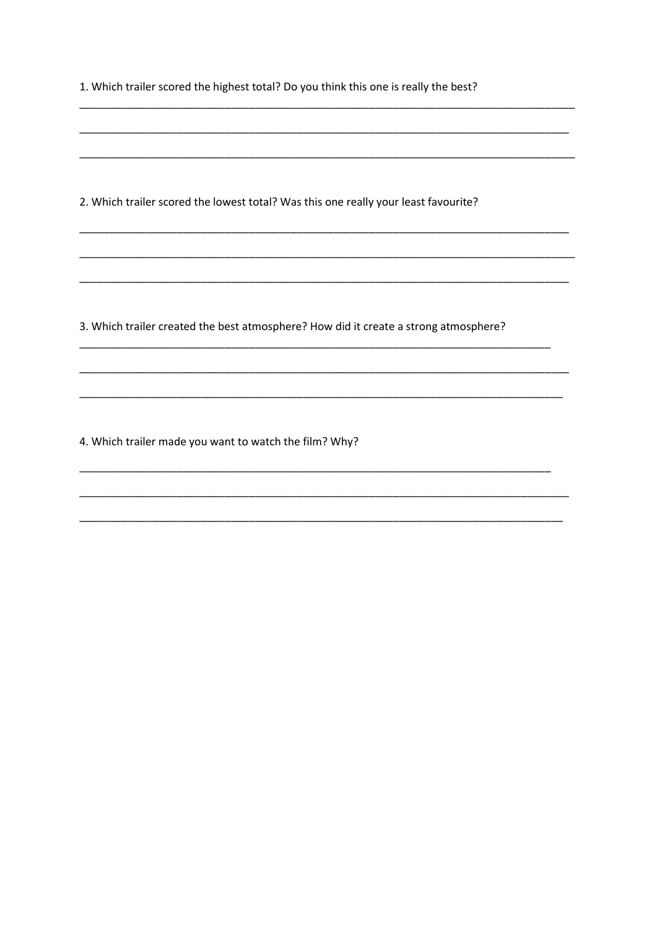| 1. Which trailer scored the highest total? Do you think this one is really the best? |  |
|--------------------------------------------------------------------------------------|--|
|                                                                                      |  |
| 2. Which trailer scored the lowest total? Was this one really your least favourite?  |  |
|                                                                                      |  |
| 3. Which trailer created the best atmosphere? How did it create a strong atmosphere? |  |
|                                                                                      |  |
| 4. Which trailer made you want to watch the film? Why?                               |  |
|                                                                                      |  |
|                                                                                      |  |